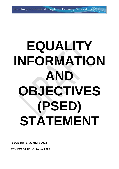# **EQUALITY INFORMATION AND OBJECTIVES (PSED) STATEMENT**

**ISSUE DATE: January 2022**

**REVIEW DATE: October 2022**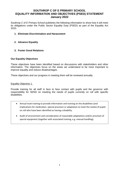# **SOUTHROP C OF E PRIMARY SCHOOL EQUALITY INFORMATION AND OBJECTIVES (PSED) STATEMENT January 2022**

Southrop C of E Primary School publishes the following information to show how it will meet its obligations under the Public Sector Equality Duty (PSED) as part of the Equality Act 2010.

- **1. Eliminate Discrimination and Harassment**
- **2. Advance Equality**
- **3. Foster Good Relations**

## **Our Equality Objectives**

These objectives have been identified based on discussions with stakeholders and other information. The objectives focus on the areas we understand to be most important to improve equality and reduce disadvantages.

These objectives and our progress in meeting them will be reviewed annually.

Equality Objective 1.

Provide training for all staff in face to face contact with pupils and the governor with responsibility for SEND on meeting the needs of pupils currently on roll with specific disabilities.

- Annual Inset training to provide information and training on the disabilities (and implications for medication, special provision or adaptation to meet the needs) of pupils on roll who have been identified as having a disability.
- Audit of environment and consideration of reasonable adaptations and/or provision of special equipment (together with associated training, e.g. manual handling).